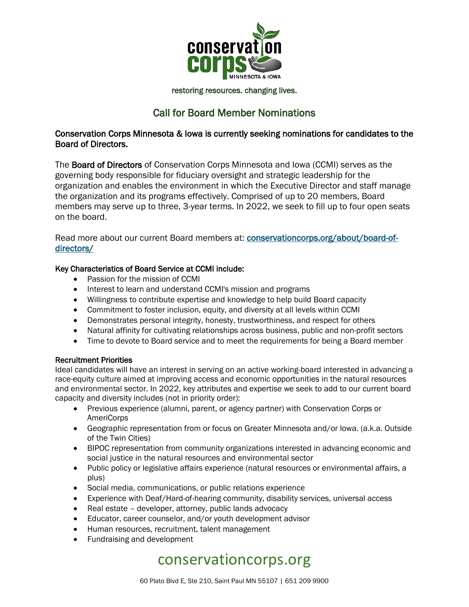

### restoring resources. changing lives.

## Call for Board Member Nominations

### Conservation Corps Minnesota & Iowa is currently seeking nominations for candidates to the Board of Directors.

The Board of Directors of Conservation Corps Minnesota and Iowa (CCMI) serves as the governing body responsible for fiduciary oversight and strategic leadership for the organization and enables the environment in which the Executive Director and staff manage the organization and its programs effectively. Comprised of up to 20 members, Board members may serve up to three, 3-year terms. In 2022, we seek to fill up to four open seats on the board.

Read more about our current Board members at: [conservationcorps.org/about/board-of](https://conservationcorps.org/about/board-of-directors/)[directors/](https://conservationcorps.org/about/board-of-directors/)

### Key Characteristics of Board Service at CCMI include:

- Passion for the mission of CCMI
- Interest to learn and understand CCMI's mission and programs
- Willingness to contribute expertise and knowledge to help build Board capacity
- Commitment to foster inclusion, equity, and diversity at all levels within CCMI
- Demonstrates personal integrity, honesty, trustworthiness, and respect for others
- Natural affinity for cultivating relationships across business, public and non-profit sectors
- Time to devote to Board service and to meet the requirements for being a Board member

### Recruitment Priorities

Ideal candidates will have an interest in serving on an active working-board interested in advancing a race-equity culture aimed at improving access and economic opportunities in the natural resources and environmental sector. In 2022, key attributes and expertise we seek to add to our current board capacity and diversity includes (not in priority order):

- Previous experience (alumni, parent, or agency partner) with Conservation Corps or AmeriCorps
- Geographic representation from or focus on Greater Minnesota and/or Iowa. (a.k.a. Outside of the Twin Cities)
- BIPOC representation from community organizations interested in advancing economic and social justice in the natural resources and environmental sector
- Public policy or legislative affairs experience (natural resources or environmental affairs, a plus)
- Social media, communications, or public relations experience
- Experience with Deaf/Hard-of-hearing community, disability services, universal access
- Real estate developer, attorney, public lands advocacy
- Educator, career counselor, and/or youth development advisor
- Human resources, recruitment, talent management
- Fundraising and development

# conservationcorps.org